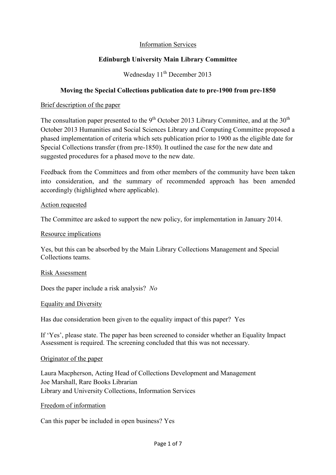## Information Services

# **Edinburgh University Main Library Committee**

Wednesday 11<sup>th</sup> December 2013

# **Moving the Special Collections publication date to pre-1900 from pre-1850**

## Brief description of the paper

The consultation paper presented to the  $9<sup>th</sup>$  October 2013 Library Committee, and at the 30<sup>th</sup> October 2013 Humanities and Social Sciences Library and Computing Committee proposed a phased implementation of criteria which sets publication prior to 1900 as the eligible date for Special Collections transfer (from pre-1850). It outlined the case for the new date and suggested procedures for a phased move to the new date.

Feedback from the Committees and from other members of the community have been taken into consideration, and the summary of recommended approach has been amended accordingly (highlighted where applicable).

### Action requested

The Committee are asked to support the new policy, for implementation in January 2014.

#### Resource implications

Yes, but this can be absorbed by the Main Library Collections Management and Special Collections teams.

#### Risk Assessment

Does the paper include a risk analysis? *No*

#### Equality and Diversity

Has due consideration been given to the equality impact of this paper? Yes

If 'Yes', please state. The paper has been screened to consider whether an Equality Impact Assessment is required. The screening concluded that this was not necessary.

#### Originator of the paper

Laura Macpherson, Acting Head of Collections Development and Management Joe Marshall, Rare Books Librarian Library and University Collections, Information Services

#### Freedom of information

Can this paper be included in open business? Yes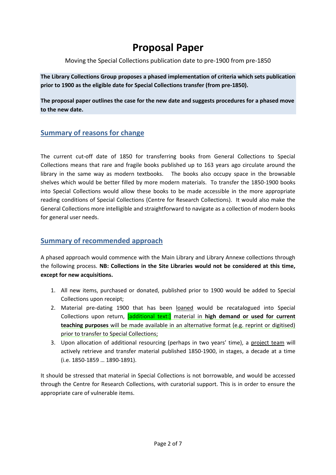# **Proposal Paper**

Moving the Special Collections publication date to pre-1900 from pre-1850

**The Library Collections Group proposes a phased implementation of criteria which sets publication prior to 1900 as the eligible date for Special Collections transfer (from pre-1850).** 

**The proposal paper outlines the case for the new date and suggests procedures for a phased move to the new date.**

# **Summary of reasons for change**

The current cut-off date of 1850 for transferring books from General Collections to Special Collections means that rare and fragile books published up to 163 years ago circulate around the library in the same way as modern textbooks. The books also occupy space in the browsable shelves which would be better filled by more modern materials. To transfer the 1850-1900 books into Special Collections would allow these books to be made accessible in the more appropriate reading conditions of Special Collections (Centre for Research Collections). It would also make the General Collections more intelligible and straightforward to navigate as a collection of modern books for general user needs.

# **Summary of recommended approach**

A phased approach would commence with the Main Library and Library Annexe collections through the following process. **NB: Collections in the Site Libraries would not be considered at this time, except for new acquisitions.**

- 1. All new items, purchased or donated, published prior to 1900 would be added to Special Collections upon receipt;
- 2. Material pre-dating 1900 that has been loaned would be recatalogued into Special Collections upon return, [additional text:] material in **high demand or used for current teaching purposes** will be made available in an alternative format (e.g. reprint or digitised) prior to transfer to Special Collections;
- 3. Upon allocation of additional resourcing (perhaps in two years' time), a project team will actively retrieve and transfer material published 1850-1900, in stages, a decade at a time (i.e. 1850-1859 … 1890-1891).

It should be stressed that material in Special Collections is not borrowable, and would be accessed through the Centre for Research Collections, with curatorial support. This is in order to ensure the appropriate care of vulnerable items.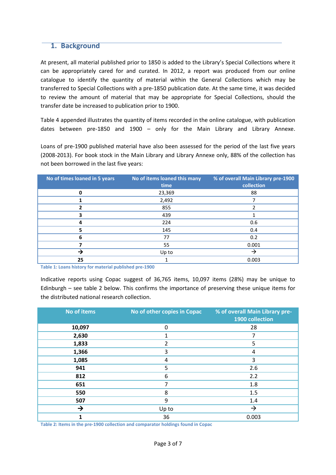#### **1. Background**

At present, all material published prior to 1850 is added to the Library's Special Collections where it can be appropriately cared for and curated. In 2012, a report was produced from our online catalogue to identify the quantity of material within the General Collections which may be transferred to Special Collections with a pre-1850 publication date. At the same time, it was decided to review the amount of material that may be appropriate for Special Collections, should the transfer date be increased to publication prior to 1900.

Table 4 appended illustrates the quantity of items recorded in the online catalogue, with publication dates between pre-1850 and 1900 – only for the Main Library and Library Annexe.

Loans of pre-1900 published material have also been assessed for the period of the last five years (2008-2013). For book stock in the Main Library and Library Annexe only, 88% of the collection has not been borrowed in the last five years:

| No of times loaned in 5 years | No of items loaned this many<br>time | % of overall Main Library pre-1900<br>collection |  |  |  |
|-------------------------------|--------------------------------------|--------------------------------------------------|--|--|--|
| Ω                             | 23,369                               | 88                                               |  |  |  |
|                               | 2,492                                |                                                  |  |  |  |
|                               | 855                                  |                                                  |  |  |  |
|                               | 439                                  |                                                  |  |  |  |
|                               | 224                                  | 0.6                                              |  |  |  |
|                               | 145                                  | 0.4                                              |  |  |  |
|                               | 77                                   | 0.2                                              |  |  |  |
|                               | 55                                   | 0.001                                            |  |  |  |
|                               | Up to                                |                                                  |  |  |  |
| 25                            |                                      | 0.003                                            |  |  |  |

**Table 1: Loans history for material published pre-1900**

Indicative reports using Copac suggest of 36,765 items, 10,097 items (28%) may be unique to Edinburgh – see table 2 below. This confirms the importance of preserving these unique items for the distributed national research collection.

| <b>No of items</b> | No of other copies in Copac | % of overall Main Library pre-<br>1900 collection |  |  |  |
|--------------------|-----------------------------|---------------------------------------------------|--|--|--|
| 10,097             | $\mathbf 0$                 | 28                                                |  |  |  |
| 2,630              | 1                           | 7                                                 |  |  |  |
| 1,833              | $\overline{2}$              | 5                                                 |  |  |  |
| 1,366              | 3                           | 4                                                 |  |  |  |
| 1,085              | 4                           | 3                                                 |  |  |  |
| 941                | 5                           | 2.6                                               |  |  |  |
| 812                | 6                           | 2.2                                               |  |  |  |
| 651                | 7                           | 1.8                                               |  |  |  |
| 550                | 8                           | 1.5                                               |  |  |  |
| 507                | 9                           | 1.4                                               |  |  |  |
| $\rightarrow$      | Up to                       | $\rightarrow$                                     |  |  |  |
|                    | 36                          | 0.003                                             |  |  |  |

**Table 2: Items in the pre-1900 collection and comparator holdings found in Copac**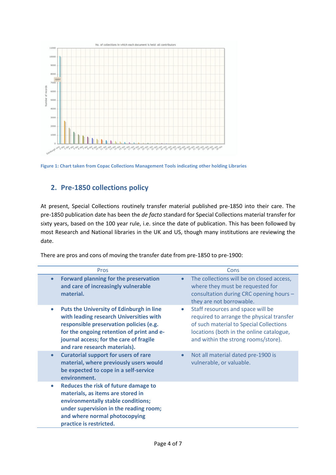



# **2. Pre-1850 collections policy**

At present, Special Collections routinely transfer material published pre-1850 into their care. The pre-1850 publication date has been the *de facto* standard for Special Collections material transfer for sixty years, based on the 100 year rule, i.e. since the date of publication. This has been followed by most Research and National libraries in the UK and US, though many institutions are reviewing the date.

|  | There are pros and cons of moving the transfer date from pre-1850 to pre-1900: |
|--|--------------------------------------------------------------------------------|
|  |                                                                                |

| <b>Pros</b>                                                                                                                                                                                                                                                                 | Cons                                                                                                                                                                                                                      |
|-----------------------------------------------------------------------------------------------------------------------------------------------------------------------------------------------------------------------------------------------------------------------------|---------------------------------------------------------------------------------------------------------------------------------------------------------------------------------------------------------------------------|
| Forward planning for the preservation<br>$\bullet$<br>and care of increasingly vulnerable<br>material.                                                                                                                                                                      | The collections will be on closed access,<br>$\bullet$<br>where they must be requested for<br>consultation during CRC opening hours -<br>they are not borrowable.                                                         |
| <b>Puts the University of Edinburgh in line</b><br>$\bullet$<br>with leading research Universities with<br>responsible preservation policies (e.g.<br>for the ongoing retention of print and e-<br>journal access; for the care of fragile<br>and rare research materials). | Staff resources and space will be<br>$\bullet$<br>required to arrange the physical transfer<br>of such material to Special Collections<br>locations (both in the online catalogue,<br>and within the strong rooms/store). |
| <b>Curatorial support for users of rare</b><br>material, where previously users would<br>be expected to cope in a self-service<br>environment.                                                                                                                              | Not all material dated pre-1900 is<br>vulnerable, or valuable.                                                                                                                                                            |
| Reduces the risk of future damage to<br>$\bullet$<br>materials, as items are stored in<br>environmentally stable conditions;<br>under supervision in the reading room;<br>and where normal photocopying<br>practice is restricted.                                          |                                                                                                                                                                                                                           |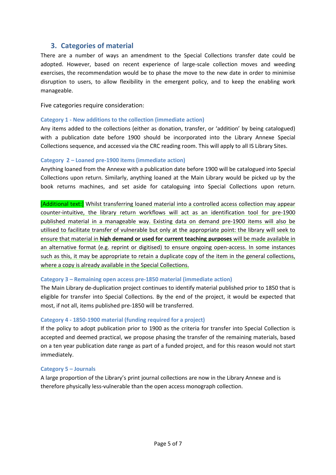# **3. Categories of material**

There are a number of ways an amendment to the Special Collections transfer date could be adopted. However, based on recent experience of large-scale collection moves and weeding exercises, the recommendation would be to phase the move to the new date in order to minimise disruption to users, to allow flexibility in the emergent policy, and to keep the enabling work manageable.

Five categories require consideration:

#### **Category 1 - New additions to the collection (immediate action)**

Any items added to the collections (either as donation, transfer, or 'addition' by being catalogued) with a publication date before 1900 should be incorporated into the Library Annexe Special Collections sequence, and accessed via the CRC reading room. This will apply to all IS Library Sites.

#### **Category 2 – Loaned pre-1900 items (immediate action)**

Anything loaned from the Annexe with a publication date before 1900 will be catalogued into Special Collections upon return. Similarly, anything loaned at the Main Library would be picked up by the book returns machines, and set aside for cataloguing into Special Collections upon return.

[Additional text:] Whilst transferring loaned material into a controlled access collection may appear counter-intuitive, the library return workflows will act as an identification tool for pre-1900 published material in a manageable way. Existing data on demand pre-1900 items will also be utilised to facilitate transfer of vulnerable but only at the appropriate point: the library will seek to ensure that material in **high demand or used for current teaching purposes** will be made available in an alternative format (e.g. reprint or digitised) to ensure ongoing open-access. In some instances such as this, it may be appropriate to retain a duplicate copy of the item in the general collections, where a copy is already available in the Special Collections.

#### **Category 3 – Remaining open access pre-1850 material (immediate action)**

The Main Library de-duplication project continues to identify material published prior to 1850 that is eligible for transfer into Special Collections. By the end of the project, it would be expected that most, if not all, items published pre-1850 will be transferred.

#### **Category 4 - 1850-1900 material (funding required for a project)**

If the policy to adopt publication prior to 1900 as the criteria for transfer into Special Collection is accepted and deemed practical, we propose phasing the transfer of the remaining materials, based on a ten year publication date range as part of a funded project, and for this reason would not start immediately.

#### **Category 5 – Journals**

A large proportion of the Library's print journal collections are now in the Library Annexe and is therefore physically less-vulnerable than the open access monograph collection.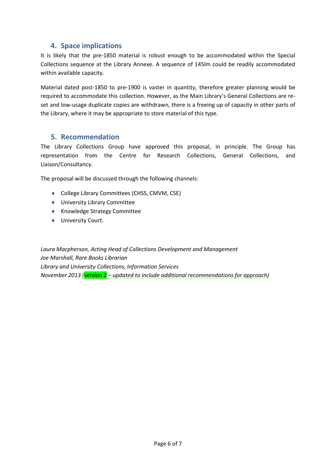# **4. Space implications**

It is likely that the pre-1850 material is robust enough to be accommodated within the Special Collections sequence at the Library Annexe. A sequence of 145lm could be readily accommodated within available capacity.

Material dated post-1850 to pre-1900 is vaster in quantity, therefore greater planning would be required to accommodate this collection. However, as the Main Library's General Collections are reset and low-usage duplicate copies are withdrawn, there is a freeing up of capacity in other parts of the Library, where it may be appropriate to store material of this type.

### **5. Recommendation**

The Library Collections Group have approved this proposal, in principle. The Group has representation from the Centre for Research Collections, General Collections, and Liaison/Consultancy.

The proposal will be discussed through the following channels:

- College Library Committees (CHSS, CMVM, CSE)
- University Library Committee
- ◆ Knowledge Strategy Committee
- ◆ University Court.

*Laura Macpherson, Acting Head of Collections Development and Management Joe Marshall, Rare Books Librarian Library and University Collections, Information Services November 2013 (version 2 – updated to include additional recommendations for approach)*